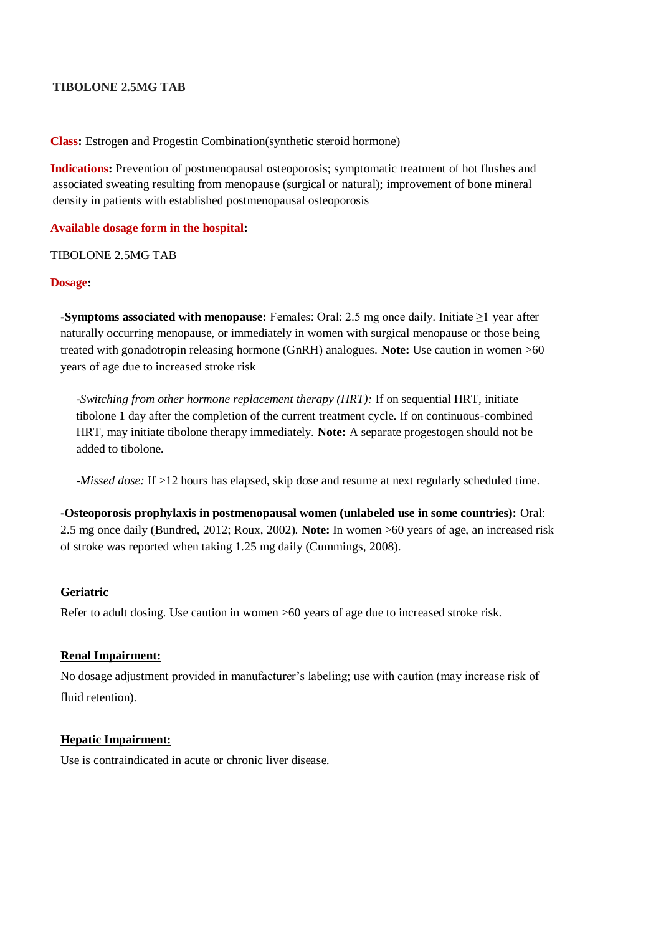# **TIBOLONE 2.5MG TAB**

**Class:** Estrogen and Progestin Combination(synthetic steroid hormone)

**Indications:** Prevention of postmenopausal osteoporosis; symptomatic treatment of hot flushes and associated sweating resulting from menopause (surgical or natural); improvement of bone mineral density in patients with established postmenopausal osteoporosis

# **Available dosage form in the hospital:**

### TIBOLONE 2.5MG TAB

#### **Dosage:**

**-Symptoms associated with menopause:** Females: Oral: 2.5 mg once daily. Initiate ≥1 year after naturally occurring menopause, or immediately in women with surgical menopause or those being treated with gonadotropin releasing hormone (GnRH) analogues. **Note:** Use caution in women >60 years of age due to increased stroke risk

*-Switching from other hormone replacement therapy (HRT):* If on sequential HRT, initiate tibolone 1 day after the completion of the current treatment cycle. If on continuous-combined HRT, may initiate tibolone therapy immediately. **Note:** A separate progestogen should not be added to tibolone.

*-Missed dose:* If >12 hours has elapsed, skip dose and resume at next regularly scheduled time.

**-Osteoporosis prophylaxis in postmenopausal women (unlabeled use in some countries):** Oral: 2.5 mg once daily (Bundred, 2012; Roux, 2002). **Note:** In women >60 years of age, an increased risk of stroke was reported when taking 1.25 mg daily (Cummings, 2008).

## **Geriatric**

Refer to adult dosing. Use caution in women >60 years of age due to increased stroke risk.

#### **Renal Impairment:**

No dosage adjustment provided in manufacturer's labeling; use with caution (may increase risk of fluid retention).

### **Hepatic Impairment:**

Use is contraindicated in acute or chronic liver disease.